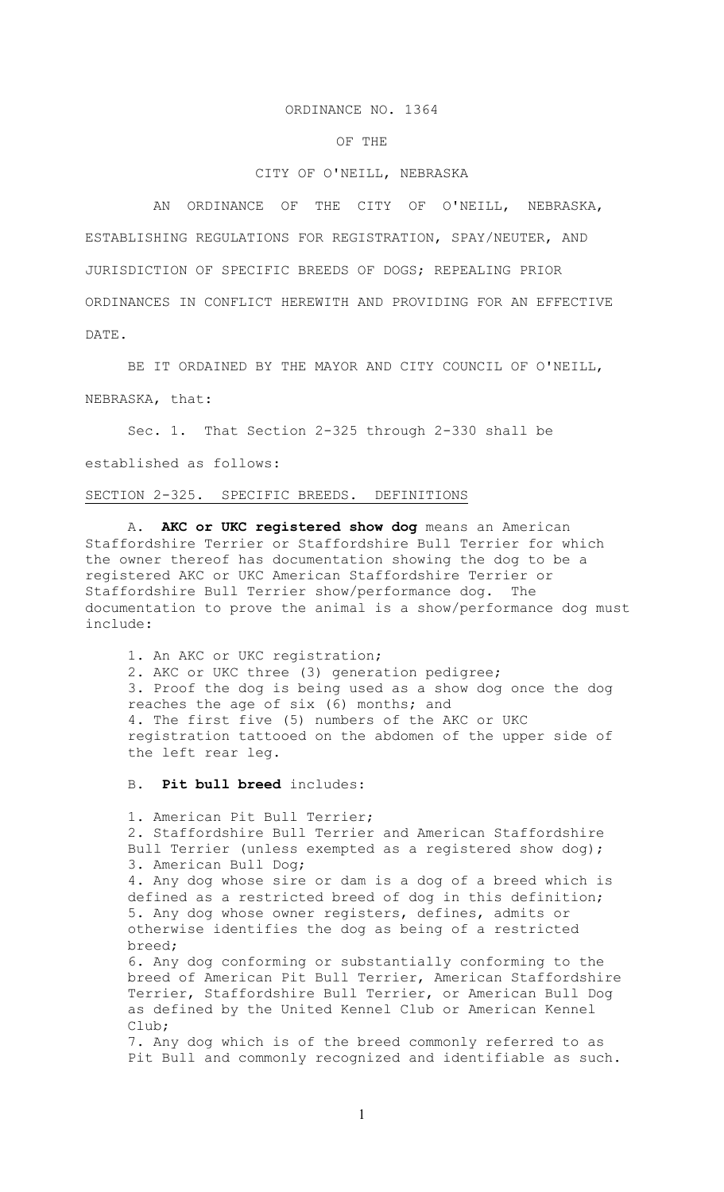## ORDINANCE NO. 1364

# OF THE

# CITY OF O'NEILL, NEBRASKA

 AN ORDINANCE OF THE CITY OF O'NEILL, NEBRASKA, ESTABLISHING REGULATIONS FOR REGISTRATION, SPAY/NEUTER, AND JURISDICTION OF SPECIFIC BREEDS OF DOGS; REPEALING PRIOR ORDINANCES IN CONFLICT HEREWITH AND PROVIDING FOR AN EFFECTIVE DATE.

BE IT ORDAINED BY THE MAYOR AND CITY COUNCIL OF O'NEILL, NEBRASKA, that:

Sec. 1. That Section 2-325 through 2-330 shall be established as follows:

## SECTION 2-325. SPECIFIC BREEDS. DEFINITIONS

A. **AKC or UKC registered show dog** means an American Staffordshire Terrier or Staffordshire Bull Terrier for which the owner thereof has documentation showing the dog to be a registered AKC or UKC American Staffordshire Terrier or Staffordshire Bull Terrier show/performance dog. The documentation to prove the animal is a show/performance dog must include:

1. An AKC or UKC registration; 2. AKC or UKC three (3) generation pedigree; 3. Proof the dog is being used as a show dog once the dog reaches the age of six (6) months; and 4. The first five (5) numbers of the AKC or UKC registration tattooed on the abdomen of the upper side of the left rear leg.

B. **Pit bull breed** includes:

1. American Pit Bull Terrier; 2. Staffordshire Bull Terrier and American Staffordshire Bull Terrier (unless exempted as a registered show dog); 3. American Bull Dog; 4. Any dog whose sire or dam is a dog of a breed which is defined as a restricted breed of dog in this definition; 5. Any dog whose owner registers, defines, admits or otherwise identifies the dog as being of a restricted breed; 6. Any dog conforming or substantially conforming to the breed of American Pit Bull Terrier, American Staffordshire Terrier, Staffordshire Bull Terrier, or American Bull Dog as defined by the United Kennel Club or American Kennel Club; 7. Any dog which is of the breed commonly referred to as Pit Bull and commonly recognized and identifiable as such.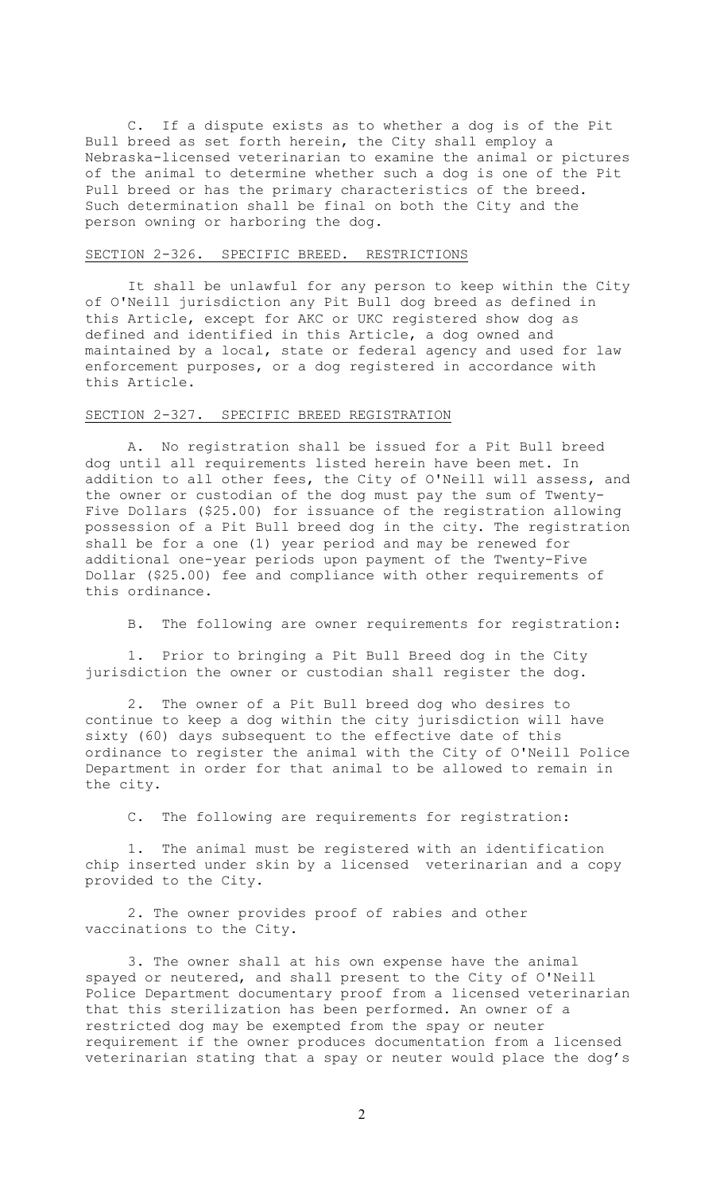C. If a dispute exists as to whether a dog is of the Pit Bull breed as set forth herein, the City shall employ a Nebraska-licensed veterinarian to examine the animal or pictures of the animal to determine whether such a dog is one of the Pit Pull breed or has the primary characteristics of the breed. Such determination shall be final on both the City and the person owning or harboring the dog.

#### SECTION 2-326. SPECIFIC BREED. RESTRICTIONS

It shall be unlawful for any person to keep within the City of O'Neill jurisdiction any Pit Bull dog breed as defined in this Article, except for AKC or UKC registered show dog as defined and identified in this Article, a dog owned and maintained by a local, state or federal agency and used for law enforcement purposes, or a dog registered in accordance with this Article.

# SECTION 2-327. SPECIFIC BREED REGISTRATION

A. No registration shall be issued for a Pit Bull breed dog until all requirements listed herein have been met. In addition to all other fees, the City of O'Neill will assess, and the owner or custodian of the dog must pay the sum of Twenty-Five Dollars (\$25.00) for issuance of the registration allowing possession of a Pit Bull breed dog in the city. The registration shall be for a one (1) year period and may be renewed for additional one-year periods upon payment of the Twenty-Five Dollar (\$25.00) fee and compliance with other requirements of this ordinance.

B. The following are owner requirements for registration:

1. Prior to bringing a Pit Bull Breed dog in the City jurisdiction the owner or custodian shall register the dog.

2. The owner of a Pit Bull breed dog who desires to continue to keep a dog within the city jurisdiction will have sixty (60) days subsequent to the effective date of this ordinance to register the animal with the City of O'Neill Police Department in order for that animal to be allowed to remain in the city.

C. The following are requirements for registration:

1. The animal must be registered with an identification chip inserted under skin by a licensed veterinarian and a copy provided to the City.

2. The owner provides proof of rabies and other vaccinations to the City.

3. The owner shall at his own expense have the animal spayed or neutered, and shall present to the City of O'Neill Police Department documentary proof from a licensed veterinarian that this sterilization has been performed. An owner of a restricted dog may be exempted from the spay or neuter requirement if the owner produces documentation from a licensed veterinarian stating that a spay or neuter would place the dog's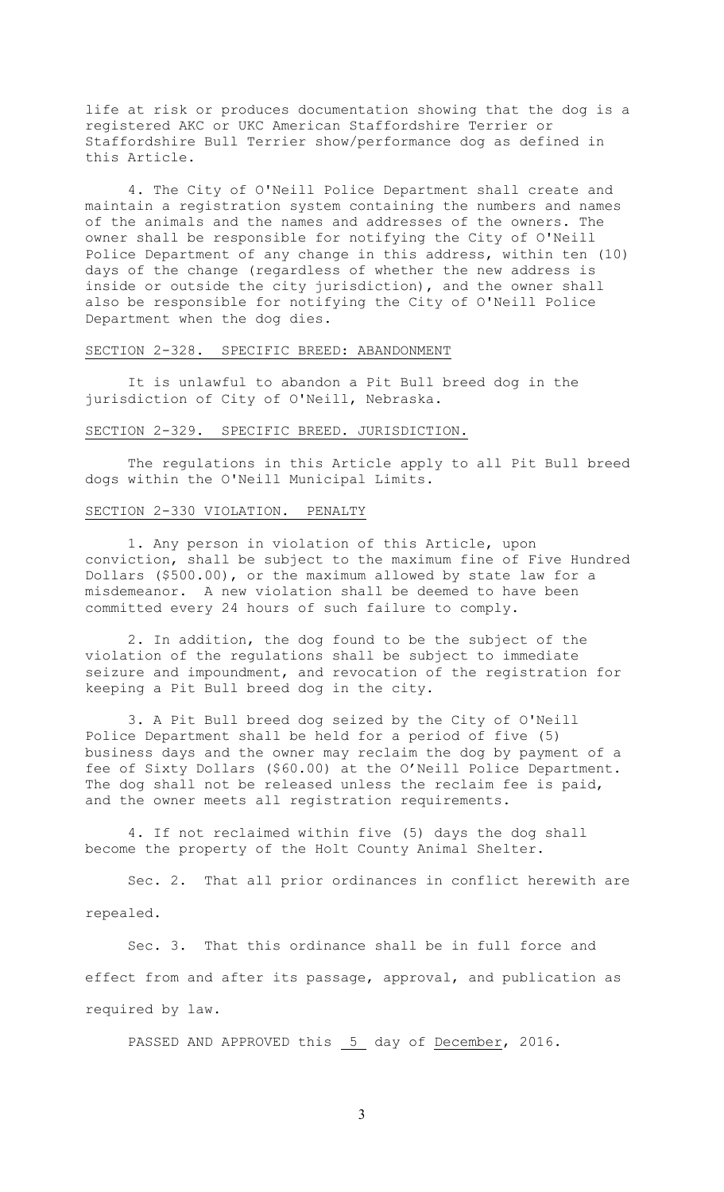life at risk or produces documentation showing that the dog is a registered AKC or UKC American Staffordshire Terrier or Staffordshire Bull Terrier show/performance dog as defined in this Article.

4. The City of O'Neill Police Department shall create and maintain a registration system containing the numbers and names of the animals and the names and addresses of the owners. The owner shall be responsible for notifying the City of O'Neill Police Department of any change in this address, within ten (10) days of the change (regardless of whether the new address is inside or outside the city jurisdiction), and the owner shall also be responsible for notifying the City of O'Neill Police Department when the dog dies.

## SECTION 2-328. SPECIFIC BREED: ABANDONMENT

It is unlawful to abandon a Pit Bull breed dog in the jurisdiction of City of O'Neill, Nebraska.

## SECTION 2-329. SPECIFIC BREED. JURISDICTION.

The regulations in this Article apply to all Pit Bull breed dogs within the O'Neill Municipal Limits.

#### SECTION 2-330 VIOLATION. PENALTY

1. Any person in violation of this Article, upon conviction, shall be subject to the maximum fine of Five Hundred Dollars (\$500.00), or the maximum allowed by state law for a misdemeanor. A new violation shall be deemed to have been committed every 24 hours of such failure to comply.

2. In addition, the dog found to be the subject of the violation of the regulations shall be subject to immediate seizure and impoundment, and revocation of the registration for keeping a Pit Bull breed dog in the city.

3. A Pit Bull breed dog seized by the City of O'Neill Police Department shall be held for a period of five (5) business days and the owner may reclaim the dog by payment of a fee of Sixty Dollars (\$60.00) at the O'Neill Police Department. The dog shall not be released unless the reclaim fee is paid, and the owner meets all registration requirements.

4. If not reclaimed within five (5) days the dog shall become the property of the Holt County Animal Shelter.

Sec. 2. That all prior ordinances in conflict herewith are repealed.

Sec. 3. That this ordinance shall be in full force and effect from and after its passage, approval, and publication as required by law.

PASSED AND APPROVED this 5 day of December, 2016.